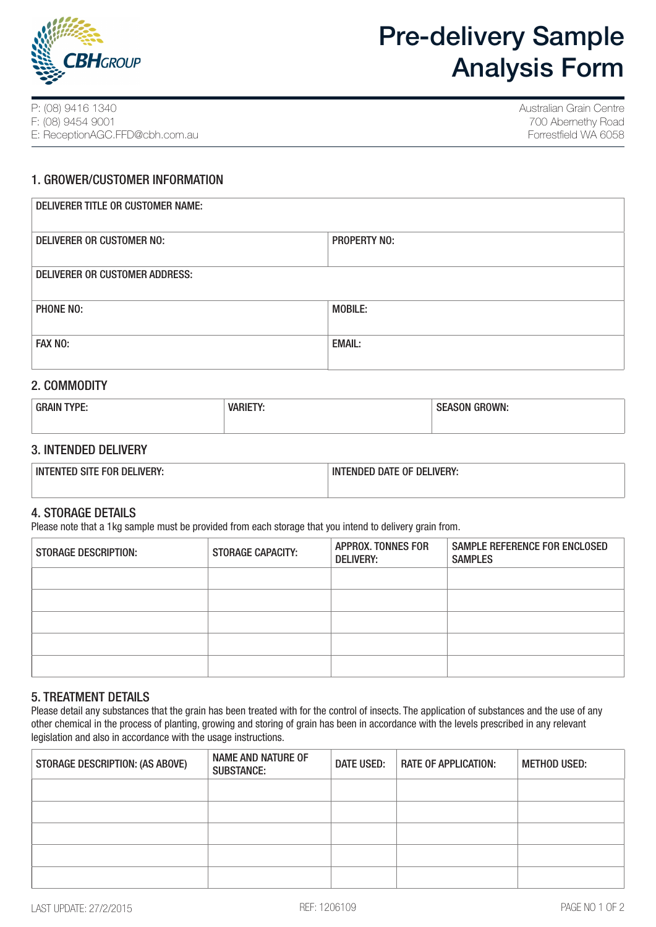

# Pre-delivery Sample Analysis Form

P: (08) 9416 1340 F: (08) 9454 9001 E: ReceptionAGC.FFD@cbh.com.au Australian Grain Centre 700 Abernethy Road Forrestfield WA 6058

## 1. GROWER/CUSTOMER INFORMATION

| <b>DELIVERER TITLE OR CUSTOMER NAME:</b> |                     |  |
|------------------------------------------|---------------------|--|
| DELIVERER OR CUSTOMER NO:                | <b>PROPERTY NO:</b> |  |
| DELIVERER OR CUSTOMER ADDRESS:           |                     |  |
| PHONE NO:                                | <b>MOBILE:</b>      |  |
| FAX NO:                                  | <b>EMAIL:</b>       |  |

## 2. COMMODITY

| TYPE:<br><b>GRAIN</b> | <b>VARIE</b> | ' GROWN:<br>יי<br><b>SEASON</b> |
|-----------------------|--------------|---------------------------------|
|                       |              |                                 |

## 3. INTENDED DELIVERY

| <b>SITE FOR DELIVERY</b><br>INT'<br>''MILD. | IN7<br><b>DELIVERY:</b><br>'ENDED DATE OF |
|---------------------------------------------|-------------------------------------------|
|                                             |                                           |

## 4. STORAGE DETAILS

Please note that a 1kg sample must be provided from each storage that you intend to delivery grain from.

| <b>STORAGE DESCRIPTION:</b> | <b>STORAGE CAPACITY:</b> | <b>APPROX. TONNES FOR</b><br><b>DELIVERY:</b> | SAMPLE REFERENCE FOR ENCLOSED<br><b>SAMPLES</b> |
|-----------------------------|--------------------------|-----------------------------------------------|-------------------------------------------------|
|                             |                          |                                               |                                                 |
|                             |                          |                                               |                                                 |
|                             |                          |                                               |                                                 |
|                             |                          |                                               |                                                 |
|                             |                          |                                               |                                                 |

## 5. TREATMENT DETAILS

Please detail any substances that the grain has been treated with for the control of insects. The application of substances and the use of any other chemical in the process of planting, growing and storing of grain has been in accordance with the levels prescribed in any relevant legislation and also in accordance with the usage instructions.

| STORAGE DESCRIPTION: (AS ABOVE) | <b>NAME AND NATURE OF</b><br><b>SUBSTANCE:</b> | <b>DATE USED:</b> | <b>RATE OF APPLICATION:</b> | <b>METHOD USED:</b> |
|---------------------------------|------------------------------------------------|-------------------|-----------------------------|---------------------|
|                                 |                                                |                   |                             |                     |
|                                 |                                                |                   |                             |                     |
|                                 |                                                |                   |                             |                     |
|                                 |                                                |                   |                             |                     |
|                                 |                                                |                   |                             |                     |